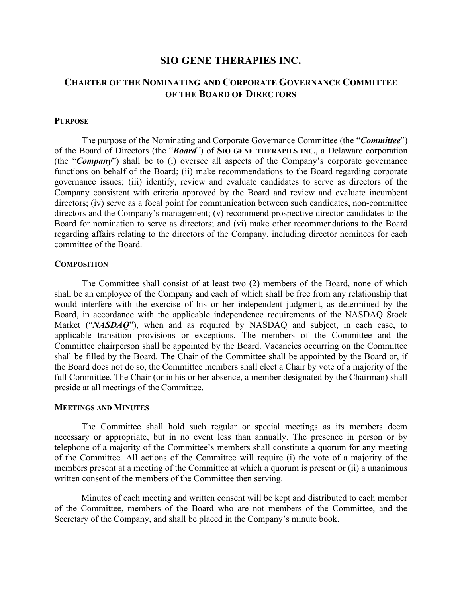# **SIO GENE THERAPIES INC.**

# **CHARTER OF THE NOMINATING AND CORPORATE GOVERNANCE COMMITTEE OF THE BOARD OF DIRECTORS**

### **PURPOSE**

The purpose of the Nominating and Corporate Governance Committee (the "*Committee*") of the Board of Directors (the "*Board*") of **SIO GENE THERAPIES INC.**, a Delaware corporation (the "*Company*") shall be to (i) oversee all aspects of the Company's corporate governance functions on behalf of the Board; (ii) make recommendations to the Board regarding corporate governance issues; (iii) identify, review and evaluate candidates to serve as directors of the Company consistent with criteria approved by the Board and review and evaluate incumbent directors; (iv) serve as a focal point for communication between such candidates, non-committee directors and the Company's management; (v) recommend prospective director candidates to the Board for nomination to serve as directors; and (vi) make other recommendations to the Board regarding affairs relating to the directors of the Company, including director nominees for each committee of the Board.

### **COMPOSITION**

The Committee shall consist of at least two (2) members of the Board, none of which shall be an employee of the Company and each of which shall be free from any relationship that would interfere with the exercise of his or her independent judgment, as determined by the Board, in accordance with the applicable independence requirements of the NASDAQ Stock Market ("*NASDAQ*"), when and as required by NASDAQ and subject, in each case, to applicable transition provisions or exceptions. The members of the Committee and the Committee chairperson shall be appointed by the Board. Vacancies occurring on the Committee shall be filled by the Board. The Chair of the Committee shall be appointed by the Board or, if the Board does not do so, the Committee members shall elect a Chair by vote of a majority of the full Committee. The Chair (or in his or her absence, a member designated by the Chairman) shall preside at all meetings of the Committee.

#### **MEETINGS AND MINUTES**

The Committee shall hold such regular or special meetings as its members deem necessary or appropriate, but in no event less than annually. The presence in person or by telephone of a majority of the Committee's members shall constitute a quorum for any meeting of the Committee. All actions of the Committee will require (i) the vote of a majority of the members present at a meeting of the Committee at which a quorum is present or (ii) a unanimous written consent of the members of the Committee then serving.

Minutes of each meeting and written consent will be kept and distributed to each member of the Committee, members of the Board who are not members of the Committee, and the Secretary of the Company, and shall be placed in the Company's minute book.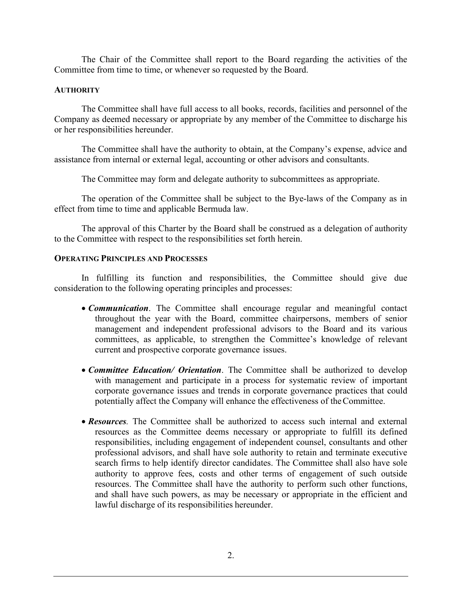The Chair of the Committee shall report to the Board regarding the activities of the Committee from time to time, or whenever so requested by the Board.

### **AUTHORITY**

The Committee shall have full access to all books, records, facilities and personnel of the Company as deemed necessary or appropriate by any member of the Committee to discharge his or her responsibilities hereunder.

The Committee shall have the authority to obtain, at the Company's expense, advice and assistance from internal or external legal, accounting or other advisors and consultants.

The Committee may form and delegate authority to subcommittees as appropriate.

The operation of the Committee shall be subject to the Bye-laws of the Company as in effect from time to time and applicable Bermuda law.

The approval of this Charter by the Board shall be construed as a delegation of authority to the Committee with respect to the responsibilities set forth herein.

# **OPERATING PRINCIPLES AND PROCESSES**

In fulfilling its function and responsibilities, the Committee should give due consideration to the following operating principles and processes:

- *Communication*. The Committee shall encourage regular and meaningful contact throughout the year with the Board, committee chairpersons, members of senior management and independent professional advisors to the Board and its various committees, as applicable, to strengthen the Committee's knowledge of relevant current and prospective corporate governance issues.
- *Committee Education/ Orientation*. The Committee shall be authorized to develop with management and participate in a process for systematic review of important corporate governance issues and trends in corporate governance practices that could potentially affect the Company will enhance the effectiveness of theCommittee.
- *Resources.* The Committee shall be authorized to access such internal and external resources as the Committee deems necessary or appropriate to fulfill its defined responsibilities, including engagement of independent counsel, consultants and other professional advisors, and shall have sole authority to retain and terminate executive search firms to help identify director candidates. The Committee shall also have sole authority to approve fees, costs and other terms of engagement of such outside resources. The Committee shall have the authority to perform such other functions, and shall have such powers, as may be necessary or appropriate in the efficient and lawful discharge of its responsibilities hereunder.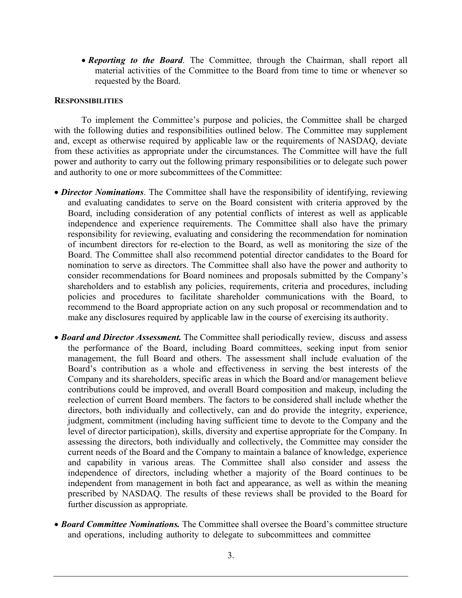• *Reporting to the Board*. The Committee, through the Chairman, shall report all material activities of the Committee to the Board from time to time or whenever so requested by the Board.

#### **RESPONSIBILITIES**

To implement the Committee's purpose and policies, the Committee shall be charged with the following duties and responsibilities outlined below. The Committee may supplement and, except as otherwise required by applicable law or the requirements of NASDAQ, deviate from these activities as appropriate under the circumstances. The Committee will have the full power and authority to carry out the following primary responsibilities or to delegate such power and authority to one or more subcommittees of the Committee:

- *Director Nominations*. The Committee shall have the responsibility of identifying, reviewing and evaluating candidates to serve on the Board consistent with criteria approved by the Board, including consideration of any potential conflicts of interest as well as applicable independence and experience requirements. The Committee shall also have the primary responsibility for reviewing, evaluating and considering the recommendation for nomination of incumbent directors for re-election to the Board, as well as monitoring the size of the Board. The Committee shall also recommend potential director candidates to the Board for nomination to serve as directors. The Committee shall also have the power and authority to consider recommendations for Board nominees and proposals submitted by the Company's shareholders and to establish any policies, requirements, criteria and procedures, including policies and procedures to facilitate shareholder communications with the Board, to recommend to the Board appropriate action on any such proposal or recommendation and to make any disclosures required by applicable law in the course of exercising its authority.
- *Board and Director Assessment.* The Committee shall periodically review, discuss and assess the performance of the Board, including Board committees, seeking input from senior management, the full Board and others. The assessment shall include evaluation of the Board's contribution as a whole and effectiveness in serving the best interests of the Company and its shareholders, specific areas in which the Board and/or management believe contributions could be improved, and overall Board composition and makeup, including the reelection of current Board members. The factors to be considered shall include whether the directors, both individually and collectively, can and do provide the integrity, experience, judgment, commitment (including having sufficient time to devote to the Company and the level of director participation), skills, diversity and expertise appropriate for the Company. In assessing the directors, both individually and collectively, the Committee may consider the current needs of the Board and the Company to maintain a balance of knowledge, experience and capability in various areas. The Committee shall also consider and assess the independence of directors, including whether a majority of the Board continues to be independent from management in both fact and appearance, as well as within the meaning prescribed by NASDAQ. The results of these reviews shall be provided to the Board for further discussion as appropriate.
- *Board Committee Nominations.* The Committee shall oversee the Board's committee structure and operations, including authority to delegate to subcommittees and committee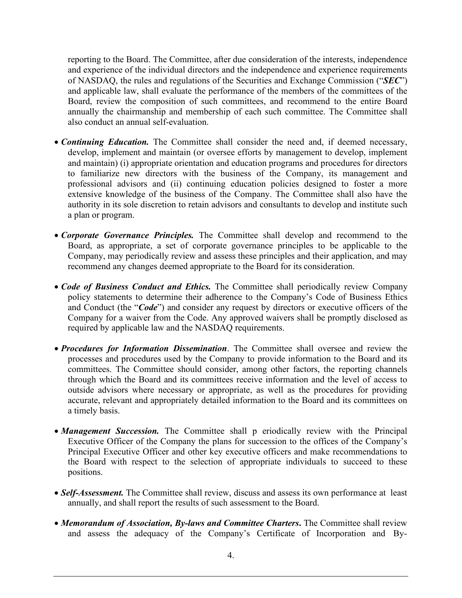reporting to the Board. The Committee, after due consideration of the interests, independence and experience of the individual directors and the independence and experience requirements of NASDAQ, the rules and regulations of the Securities and Exchange Commission ("*SEC*") and applicable law, shall evaluate the performance of the members of the committees of the Board, review the composition of such committees, and recommend to the entire Board annually the chairmanship and membership of each such committee. The Committee shall also conduct an annual self-evaluation.

- *Continuing Education.* The Committee shall consider the need and, if deemed necessary, develop, implement and maintain (or oversee efforts by management to develop, implement and maintain) (i) appropriate orientation and education programs and procedures for directors to familiarize new directors with the business of the Company, its management and professional advisors and (ii) continuing education policies designed to foster a more extensive knowledge of the business of the Company. The Committee shall also have the authority in its sole discretion to retain advisors and consultants to develop and institute such a plan or program.
- *Corporate Governance Principles.* The Committee shall develop and recommend to the Board, as appropriate, a set of corporate governance principles to be applicable to the Company, may periodically review and assess these principles and their application, and may recommend any changes deemed appropriate to the Board for its consideration.
- *Code of Business Conduct and Ethics*. The Committee shall periodically review Company policy statements to determine their adherence to the Company's Code of Business Ethics and Conduct (the "*Code*") and consider any request by directors or executive officers of the Company for a waiver from the Code. Any approved waivers shall be promptly disclosed as required by applicable law and the NASDAQ requirements.
- *Procedures for Information Dissemination*. The Committee shall oversee and review the processes and procedures used by the Company to provide information to the Board and its committees. The Committee should consider, among other factors, the reporting channels through which the Board and its committees receive information and the level of access to outside advisors where necessary or appropriate, as well as the procedures for providing accurate, relevant and appropriately detailed information to the Board and its committees on a timely basis.
- *Management Succession*. The Committee shall p eriodically review with the Principal Executive Officer of the Company the plans for succession to the offices of the Company's Principal Executive Officer and other key executive officers and make recommendations to the Board with respect to the selection of appropriate individuals to succeed to these positions.
- *Self-Assessment*. The Committee shall review, discuss and assess its own performance at least annually, and shall report the results of such assessment to the Board.
- *Memorandum of Association, By-laws and Committee Charters***.** The Committee shall review and assess the adequacy of the Company's Certificate of Incorporation and By-